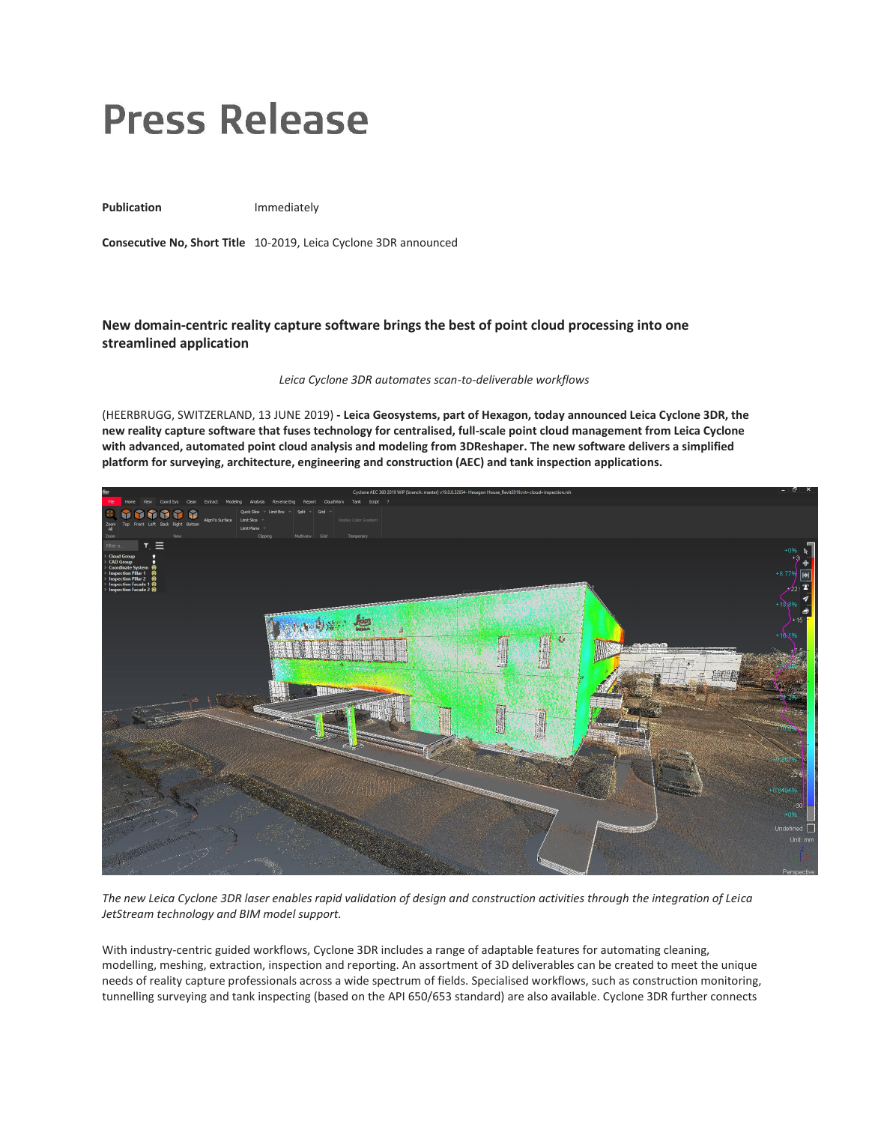## **Press Release**

Publication **Immediately** 

**Consecutive No, Short Title** 10-2019, Leica Cyclone 3DR announced

## **New domain-centric reality capture software brings the best of point cloud processing into one streamlined application**

*Leica Cyclone 3DR automates scan-to-deliverable workflows*

(HEERBRUGG, SWITZERLAND, 13 JUNE 2019) **- Leica Geosystems, part of Hexagon, today announced Leica Cyclone 3DR, the new reality capture software that fuses technology for centralised, full-scale point cloud management from Leica Cyclone with advanced, automated point cloud analysis and modeling from 3DReshaper. The new software delivers a simplified platform for surveying, architecture, engineering and construction (AEC) and tank inspection applications.**



*The new Leica Cyclone 3DR laser enables rapid validation of design and construction activities through the integration of Leica JetStream technology and BIM model support.*

With industry-centric guided workflows, Cyclone 3DR includes a range of adaptable features for automating cleaning, modelling, meshing, extraction, inspection and reporting. An assortment of 3D deliverables can be created to meet the unique needs of reality capture professionals across a wide spectrum of fields. Specialised workflows, such as construction monitoring, tunnelling surveying and tank inspecting (based on the API 650/653 standard) are also available. Cyclone 3DR further connects